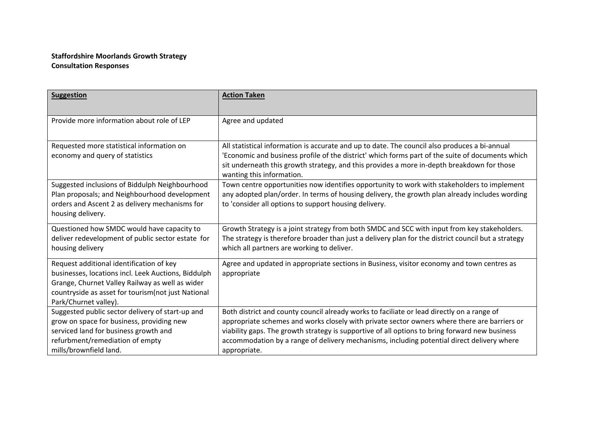## **Staffordshire Moorlands Growth Strategy Consultation Responses**

| <b>Suggestion</b>                                                                                                                                                                                                                  | <b>Action Taken</b>                                                                                                                                                                                                                                                                                                                                                                                        |
|------------------------------------------------------------------------------------------------------------------------------------------------------------------------------------------------------------------------------------|------------------------------------------------------------------------------------------------------------------------------------------------------------------------------------------------------------------------------------------------------------------------------------------------------------------------------------------------------------------------------------------------------------|
| Provide more information about role of LEP                                                                                                                                                                                         | Agree and updated                                                                                                                                                                                                                                                                                                                                                                                          |
| Requested more statistical information on<br>economy and query of statistics                                                                                                                                                       | All statistical information is accurate and up to date. The council also produces a bi-annual<br>'Economic and business profile of the district' which forms part of the suite of documents which<br>sit underneath this growth strategy, and this provides a more in-depth breakdown for those<br>wanting this information.                                                                               |
| Suggested inclusions of Biddulph Neighbourhood<br>Plan proposals; and Neighbourhood development<br>orders and Ascent 2 as delivery mechanisms for<br>housing delivery.                                                             | Town centre opportunities now identifies opportunity to work with stakeholders to implement<br>any adopted plan/order. In terms of housing delivery, the growth plan already includes wording<br>to 'consider all options to support housing delivery.                                                                                                                                                     |
| Questioned how SMDC would have capacity to<br>deliver redevelopment of public sector estate for<br>housing delivery                                                                                                                | Growth Strategy is a joint strategy from both SMDC and SCC with input from key stakeholders.<br>The strategy is therefore broader than just a delivery plan for the district council but a strategy<br>which all partners are working to deliver.                                                                                                                                                          |
| Request additional identification of key<br>businesses, locations incl. Leek Auctions, Biddulph<br>Grange, Churnet Valley Railway as well as wider<br>countryside as asset for tourism (not just National<br>Park/Churnet valley). | Agree and updated in appropriate sections in Business, visitor economy and town centres as<br>appropriate                                                                                                                                                                                                                                                                                                  |
| Suggested public sector delivery of start-up and<br>grow on space for business, providing new<br>serviced land for business growth and<br>refurbment/remediation of empty<br>mills/brownfield land.                                | Both district and county council already works to faciliate or lead directly on a range of<br>appropriate schemes and works closely with private sector owners where there are barriers or<br>viability gaps. The growth strategy is supportive of all options to bring forward new business<br>accommodation by a range of delivery mechanisms, including potential direct delivery where<br>appropriate. |